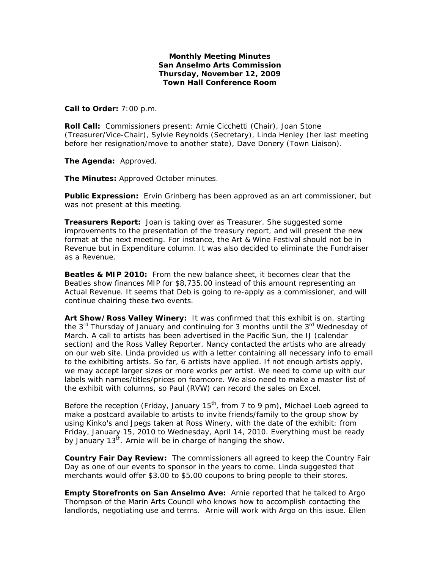## **Monthly Meeting Minutes San Anselmo Arts Commission Thursday, November 12, 2009 Town Hall Conference Room**

**Call to Order:** 7:00 p.m.

**Roll Call:** Commissioners present: Arnie Cicchetti (Chair), Joan Stone (Treasurer/Vice-Chair), Sylvie Reynolds (Secretary), Linda Henley (her last meeting before her resignation/move to another state), Dave Donery (Town Liaison).

**The Agenda:** Approved.

**The Minutes:** Approved October minutes.

**Public Expression:** Ervin Grinberg has been approved as an art commissioner, but was not present at this meeting.

**Treasurers Report:** Joan is taking over as Treasurer. She suggested some improvements to the presentation of the treasury report, and will present the new format at the next meeting. For instance, the Art & Wine Festival should not be in Revenue but in Expenditure column. It was also decided to eliminate the Fundraiser as a Revenue.

**Beatles & MIP 2010:** From the new balance sheet, it becomes clear that the Beatles show finances MIP for \$8,735.00 instead of this amount representing an Actual Revenue. It seems that Deb is going to re-apply as a commissioner, and will continue chairing these two events.

**Art Show/Ross Valley Winery:** It was confirmed that this exhibit is on, starting the  $3<sup>rd</sup>$  Thursday of January and continuing for 3 months until the  $3<sup>rd</sup>$  Wednesday of March. A call to artists has been advertised in the Pacific Sun, the IJ (calendar section) and the Ross Valley Reporter. Nancy contacted the artists who are already on our web site. Linda provided us with a letter containing all necessary info to email to the exhibiting artists. So far, 6 artists have applied. If not enough artists apply, we may accept larger sizes or more works per artist. We need to come up with our labels with names/titles/prices on foamcore. We also need to make a master list of the exhibit with columns, so Paul (RVW) can record the sales on Excel.

Before the reception (Friday, January  $15<sup>th</sup>$ , from 7 to 9 pm), Michael Loeb agreed to make a postcard available to artists to invite friends/family to the group show by using Kinko's and Jpegs taken at Ross Winery, with the date of the exhibit: from Friday, January 15, 2010 to Wednesday, April 14, 2010. Everything must be ready by January 13<sup>th</sup>. Arnie will be in charge of hanging the show.

**Country Fair Day Review:** The commissioners all agreed to keep the Country Fair Day as one of our events to sponsor in the years to come. Linda suggested that merchants would offer \$3.00 to \$5.00 coupons to bring people to their stores.

**Empty Storefronts on San Anselmo Ave:** Arnie reported that he talked to Argo Thompson of the Marin Arts Council who knows how to accomplish contacting the landlords, negotiating use and terms. Arnie will work with Argo on this issue. Ellen